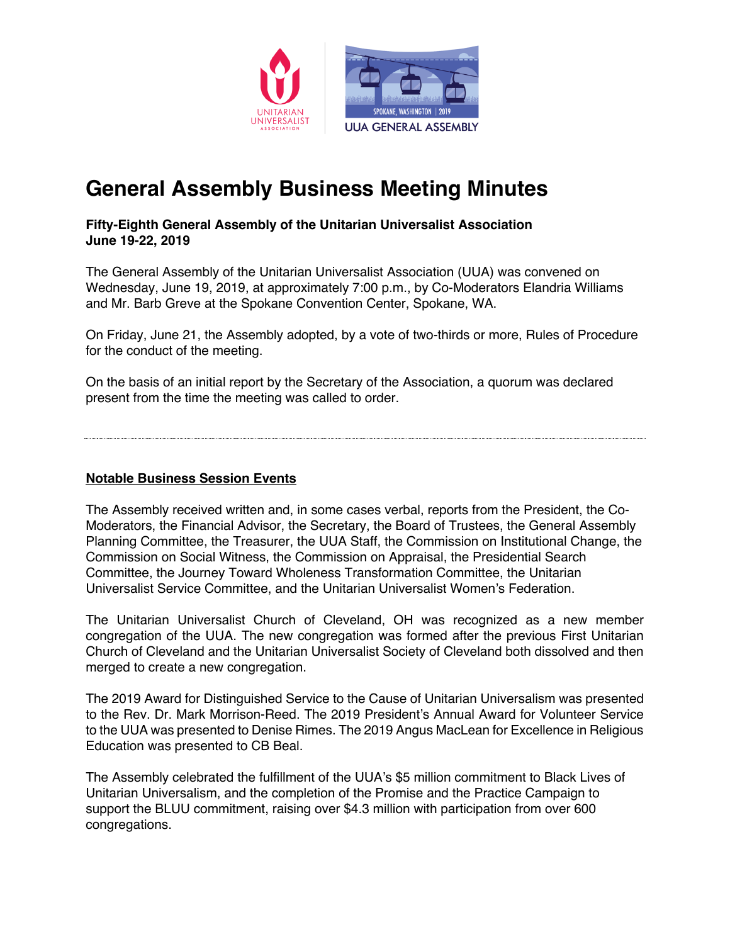

# **General Assembly Business Meeting Minutes**

**Fifty-Eighth General Assembly of the Unitarian Universalist Association June 19-22, 2019**

The General Assembly of the Unitarian Universalist Association (UUA) was convened on Wednesday, June 19, 2019, at approximately 7:00 p.m., by Co-Moderators Elandria Williams and Mr. Barb Greve at the Spokane Convention Center, Spokane, WA.

On Friday, June 21, the Assembly adopted, by a vote of two-thirds or more, Rules of Procedure for the conduct of the meeting.

On the basis of an initial report by the Secretary of the Association, a quorum was declared present from the time the meeting was called to order.

#### **Notable Business Session Events**

The Assembly received written and, in some cases verbal, reports from the President, the Co-Moderators, the Financial Advisor, the Secretary, the Board of Trustees, the General Assembly Planning Committee, the Treasurer, the UUA Staff, the Commission on Institutional Change, the Commission on Social Witness, the Commission on Appraisal, the Presidential Search Committee, the Journey Toward Wholeness Transformation Committee, the Unitarian Universalist Service Committee, and the Unitarian Universalist Women's Federation.

The Unitarian Universalist Church of Cleveland, OH was recognized as a new member congregation of the UUA. The new congregation was formed after the previous First Unitarian Church of Cleveland and the Unitarian Universalist Society of Cleveland both dissolved and then merged to create a new congregation.

The 2019 Award for Distinguished Service to the Cause of Unitarian Universalism was presented to the Rev. Dr. Mark Morrison-Reed. The 2019 President's Annual Award for Volunteer Service to the UUA was presented to Denise Rimes. The 2019 Angus MacLean for Excellence in Religious Education was presented to CB Beal.

The Assembly celebrated the fulfillment of the UUA's \$5 million commitment to Black Lives of Unitarian Universalism, and the completion of the Promise and the Practice Campaign to support the BLUU commitment, raising over \$4.3 million with participation from over 600 congregations.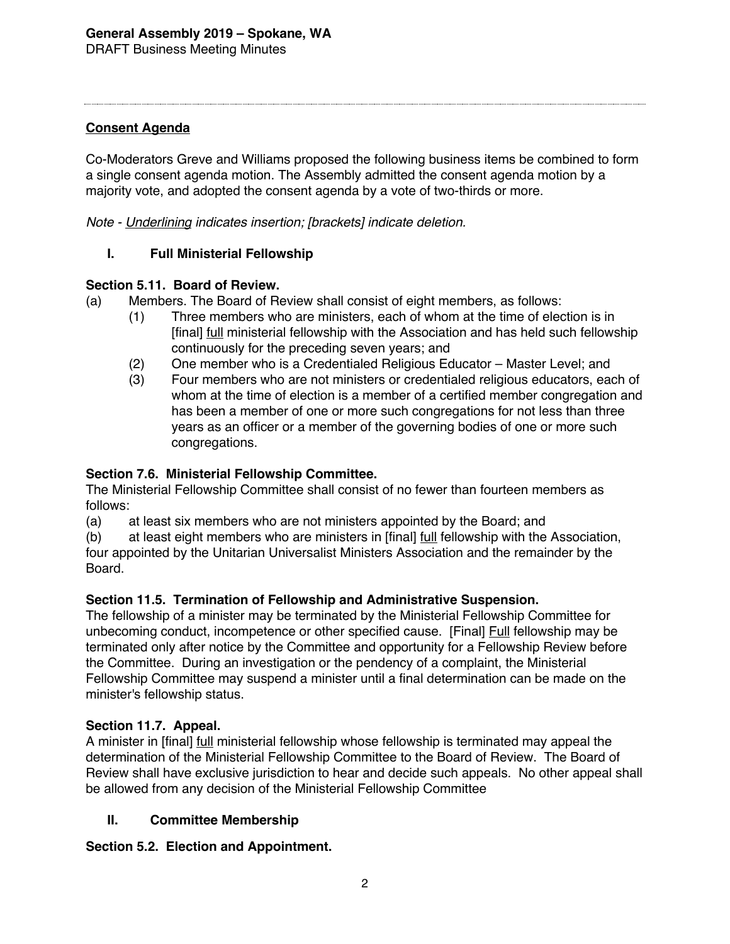## **Consent Agenda**

Co-Moderators Greve and Williams proposed the following business items be combined to form a single consent agenda motion. The Assembly admitted the consent agenda motion by a majority vote, and adopted the consent agenda by a vote of two-thirds or more.

*Note - Underlining indicates insertion; [brackets] indicate deletion.*

## **I. Full Ministerial Fellowship**

#### **Section 5.11. Board of Review.**

(a) Members. The Board of Review shall consist of eight members, as follows:

- (1) Three members who are ministers, each of whom at the time of election is in [final] full ministerial fellowship with the Association and has held such fellowship continuously for the preceding seven years; and
- (2) One member who is a Credentialed Religious Educator Master Level; and
- (3) Four members who are not ministers or credentialed religious educators, each of whom at the time of election is a member of a certified member congregation and has been a member of one or more such congregations for not less than three years as an officer or a member of the governing bodies of one or more such congregations.

#### **Section 7.6. Ministerial Fellowship Committee.**

The Ministerial Fellowship Committee shall consist of no fewer than fourteen members as follows:

(a) at least six members who are not ministers appointed by the Board; and

(b) at least eight members who are ministers in [final] <u>full</u> fellowship with the Association, four appointed by the Unitarian Universalist Ministers Association and the remainder by the Board.

#### **Section 11.5. Termination of Fellowship and Administrative Suspension.**

The fellowship of a minister may be terminated by the Ministerial Fellowship Committee for unbecoming conduct, incompetence or other specified cause. [Final] Full fellowship may be terminated only after notice by the Committee and opportunity for a Fellowship Review before the Committee. During an investigation or the pendency of a complaint, the Ministerial Fellowship Committee may suspend a minister until a final determination can be made on the minister's fellowship status.

#### **Section 11.7. Appeal.**

A minister in [final] *full ministerial fellowship whose fellowship is terminated may appeal the* determination of the Ministerial Fellowship Committee to the Board of Review. The Board of Review shall have exclusive jurisdiction to hear and decide such appeals. No other appeal shall be allowed from any decision of the Ministerial Fellowship Committee

#### **II. Committee Membership**

**Section 5.2. Election and Appointment.**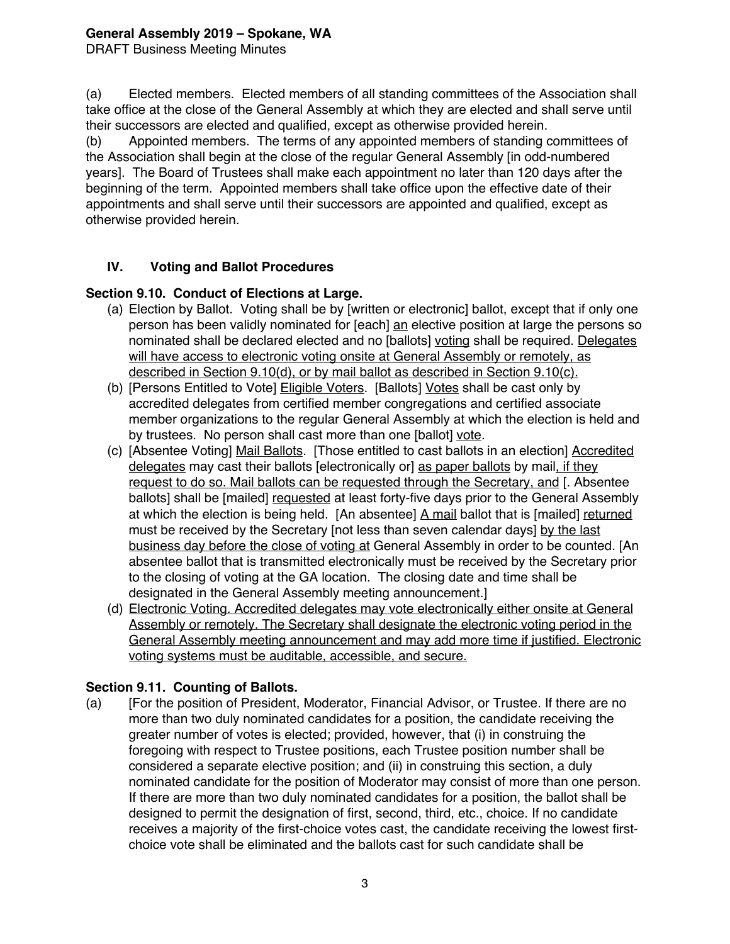DRAFT Business Meeting Minutes

(a) Elected members. Elected members of all standing committees of the Association shall take office at the close of the General Assembly at which they are elected and shall serve until their successors are elected and qualified, except as otherwise provided herein.

(b) Appointed members. The terms of any appointed members of standing committees of the Association shall begin at the close of the regular General Assembly [in odd-numbered years]. The Board of Trustees shall make each appointment no later than 120 days after the beginning of the term. Appointed members shall take office upon the effective date of their appointments and shall serve until their successors are appointed and qualified, except as otherwise provided herein.

## **IV. Voting and Ballot Procedures**

## **Section 9.10. Conduct of Elections at Large.**

- (a) Election by Ballot. Voting shall be by [written or electronic] ballot, except that if only one person has been validly nominated for [each] an elective position at large the persons so nominated shall be declared elected and no [ballots] voting shall be required. Delegates will have access to electronic voting onsite at General Assembly or remotely, as described in Section 9.10(d), or by mail ballot as described in Section 9.10(c).
- (b) [Persons Entitled to Vote] Eligible Voters. [Ballots] Votes shall be cast only by accredited delegates from certified member congregations and certified associate member organizations to the regular General Assembly at which the election is held and by trustees. No person shall cast more than one [ballot] vote.
- (c) [Absentee Voting] Mail Ballots. [Those entitled to cast ballots in an election] Accredited delegates may cast their ballots [electronically or] as paper ballots by mail, if they request to do so. Mail ballots can be requested through the Secretary, and [. Absentee ballots] shall be [mailed] requested at least forty-five days prior to the General Assembly at which the election is being held. [An absentee] A mail ballot that is [mailed] returned must be received by the Secretary [not less than seven calendar days] by the last business day before the close of voting at General Assembly in order to be counted. [An absentee ballot that is transmitted electronically must be received by the Secretary prior to the closing of voting at the GA location. The closing date and time shall be designated in the General Assembly meeting announcement.]
- (d) Electronic Voting. Accredited delegates may vote electronically either onsite at General Assembly or remotely. The Secretary shall designate the electronic voting period in the General Assembly meeting announcement and may add more time if justified. Electronic voting systems must be auditable, accessible, and secure.

# **Section 9.11. Counting of Ballots.**

(a) [For the position of President, Moderator, Financial Advisor, or Trustee. If there are no more than two duly nominated candidates for a position, the candidate receiving the greater number of votes is elected; provided, however, that (i) in construing the foregoing with respect to Trustee positions, each Trustee position number shall be considered a separate elective position; and (ii) in construing this section, a duly nominated candidate for the position of Moderator may consist of more than one person. If there are more than two duly nominated candidates for a position, the ballot shall be designed to permit the designation of first, second, third, etc., choice. If no candidate receives a majority of the first-choice votes cast, the candidate receiving the lowest firstchoice vote shall be eliminated and the ballots cast for such candidate shall be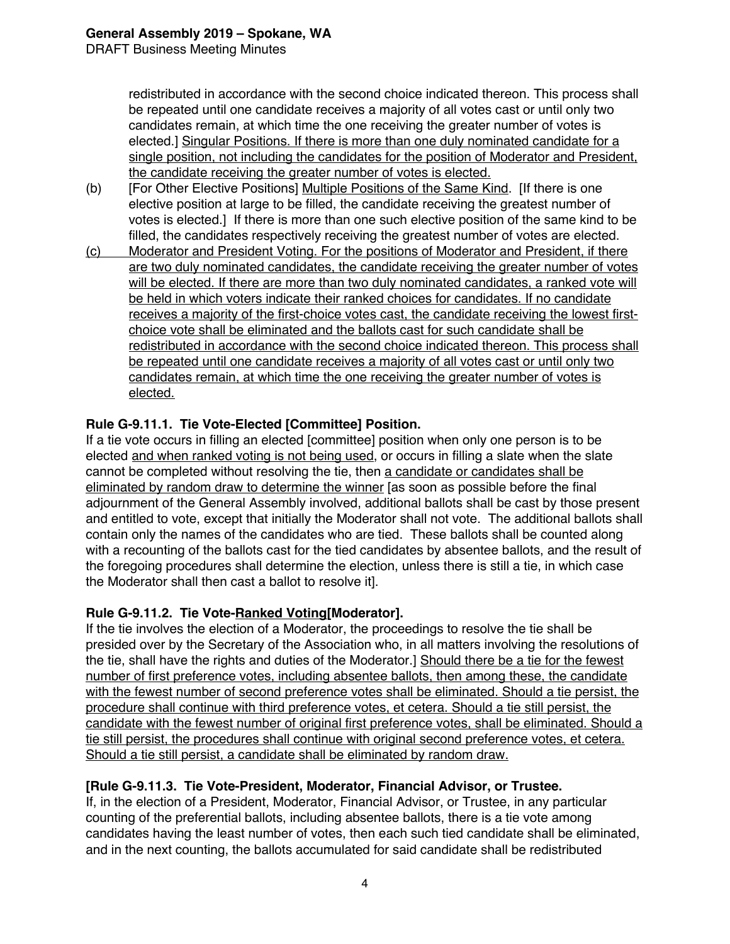DRAFT Business Meeting Minutes

redistributed in accordance with the second choice indicated thereon. This process shall be repeated until one candidate receives a majority of all votes cast or until only two candidates remain, at which time the one receiving the greater number of votes is elected.] Singular Positions. If there is more than one duly nominated candidate for a single position, not including the candidates for the position of Moderator and President, the candidate receiving the greater number of votes is elected.

- (b) [For Other Elective Positions] Multiple Positions of the Same Kind. [If there is one elective position at large to be filled, the candidate receiving the greatest number of votes is elected.] If there is more than one such elective position of the same kind to be filled, the candidates respectively receiving the greatest number of votes are elected.
- (c) Moderator and President Voting. For the positions of Moderator and President, if there are two duly nominated candidates, the candidate receiving the greater number of votes will be elected. If there are more than two duly nominated candidates, a ranked vote will be held in which voters indicate their ranked choices for candidates. If no candidate receives a majority of the first-choice votes cast, the candidate receiving the lowest firstchoice vote shall be eliminated and the ballots cast for such candidate shall be redistributed in accordance with the second choice indicated thereon. This process shall be repeated until one candidate receives a majority of all votes cast or until only two candidates remain, at which time the one receiving the greater number of votes is elected.

## **Rule G-9.11.1. Tie Vote-Elected [Committee] Position.**

If a tie vote occurs in filling an elected [committee] position when only one person is to be elected and when ranked voting is not being used, or occurs in filling a slate when the slate cannot be completed without resolving the tie, then a candidate or candidates shall be eliminated by random draw to determine the winner [as soon as possible before the final adjournment of the General Assembly involved, additional ballots shall be cast by those present and entitled to vote, except that initially the Moderator shall not vote. The additional ballots shall contain only the names of the candidates who are tied. These ballots shall be counted along with a recounting of the ballots cast for the tied candidates by absentee ballots, and the result of the foregoing procedures shall determine the election, unless there is still a tie, in which case the Moderator shall then cast a ballot to resolve it].

## **Rule G-9.11.2. Tie Vote-Ranked Voting[Moderator].**

If the tie involves the election of a Moderator, the proceedings to resolve the tie shall be presided over by the Secretary of the Association who, in all matters involving the resolutions of the tie, shall have the rights and duties of the Moderator.] Should there be a tie for the fewest number of first preference votes, including absentee ballots, then among these, the candidate with the fewest number of second preference votes shall be eliminated. Should a tie persist, the procedure shall continue with third preference votes, et cetera. Should a tie still persist, the candidate with the fewest number of original first preference votes, shall be eliminated. Should a tie still persist, the procedures shall continue with original second preference votes, et cetera. Should a tie still persist, a candidate shall be eliminated by random draw.

## **[Rule G-9.11.3. Tie Vote-President, Moderator, Financial Advisor, or Trustee.**

If, in the election of a President, Moderator, Financial Advisor, or Trustee, in any particular counting of the preferential ballots, including absentee ballots, there is a tie vote among candidates having the least number of votes, then each such tied candidate shall be eliminated, and in the next counting, the ballots accumulated for said candidate shall be redistributed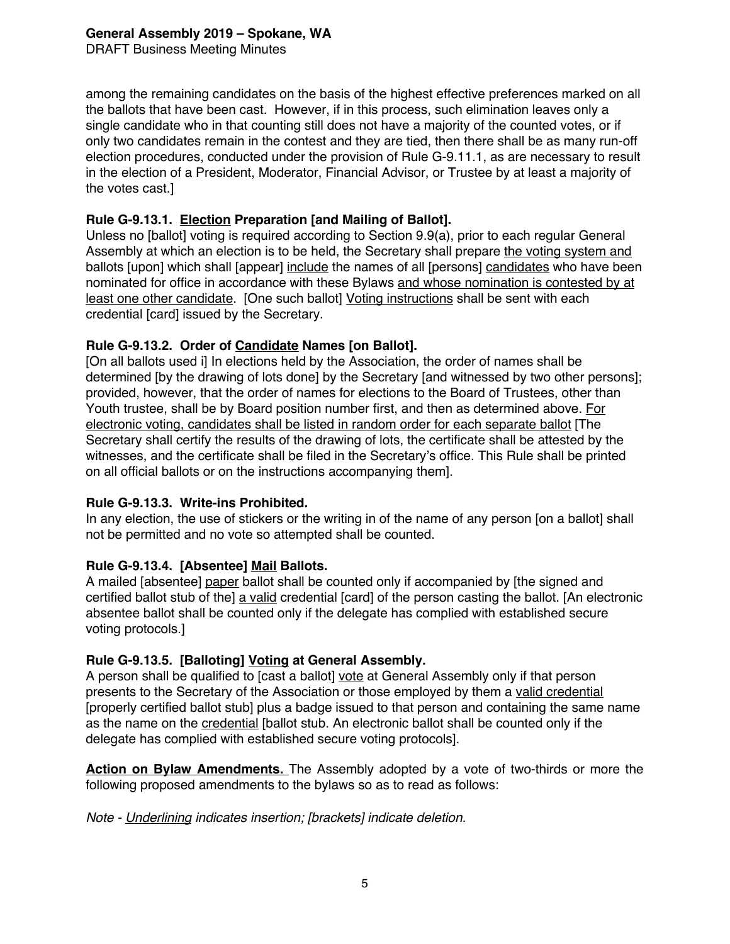DRAFT Business Meeting Minutes

among the remaining candidates on the basis of the highest effective preferences marked on all the ballots that have been cast. However, if in this process, such elimination leaves only a single candidate who in that counting still does not have a majority of the counted votes, or if only two candidates remain in the contest and they are tied, then there shall be as many run-off election procedures, conducted under the provision of Rule G-9.11.1, as are necessary to result in the election of a President, Moderator, Financial Advisor, or Trustee by at least a majority of the votes cast.]

## **Rule G-9.13.1. Election Preparation [and Mailing of Ballot].**

Unless no [ballot] voting is required according to Section 9.9(a), prior to each regular General Assembly at which an election is to be held, the Secretary shall prepare the voting system and ballots [upon] which shall [appear] include the names of all [persons] candidates who have been nominated for office in accordance with these Bylaws and whose nomination is contested by at least one other candidate. [One such ballot] Voting instructions shall be sent with each credential [card] issued by the Secretary.

## **Rule G-9.13.2. Order of Candidate Names [on Ballot].**

[On all ballots used i] In elections held by the Association, the order of names shall be determined [by the drawing of lots done] by the Secretary [and witnessed by two other persons]; provided, however, that the order of names for elections to the Board of Trustees, other than Youth trustee, shall be by Board position number first, and then as determined above. For electronic voting, candidates shall be listed in random order for each separate ballot [The Secretary shall certify the results of the drawing of lots, the certificate shall be attested by the witnesses, and the certificate shall be filed in the Secretary's office. This Rule shall be printed on all official ballots or on the instructions accompanying them].

#### **Rule G-9.13.3. Write-ins Prohibited.**

In any election, the use of stickers or the writing in of the name of any person [on a ballot] shall not be permitted and no vote so attempted shall be counted.

#### **Rule G-9.13.4. [Absentee] Mail Ballots.**

A mailed [absentee] paper ballot shall be counted only if accompanied by [the signed and certified ballot stub of the] a valid credential [card] of the person casting the ballot. [An electronic absentee ballot shall be counted only if the delegate has complied with established secure voting protocols.]

#### **Rule G-9.13.5. [Balloting] Voting at General Assembly.**

A person shall be qualified to [cast a ballot] vote at General Assembly only if that person presents to the Secretary of the Association or those employed by them a valid credential [properly certified ballot stub] plus a badge issued to that person and containing the same name as the name on the credential [ballot stub. An electronic ballot shall be counted only if the delegate has complied with established secure voting protocols].

**Action on Bylaw Amendments.** The Assembly adopted by a vote of two-thirds or more the following proposed amendments to the bylaws so as to read as follows:

*Note - Underlining indicates insertion; [brackets] indicate deletion.*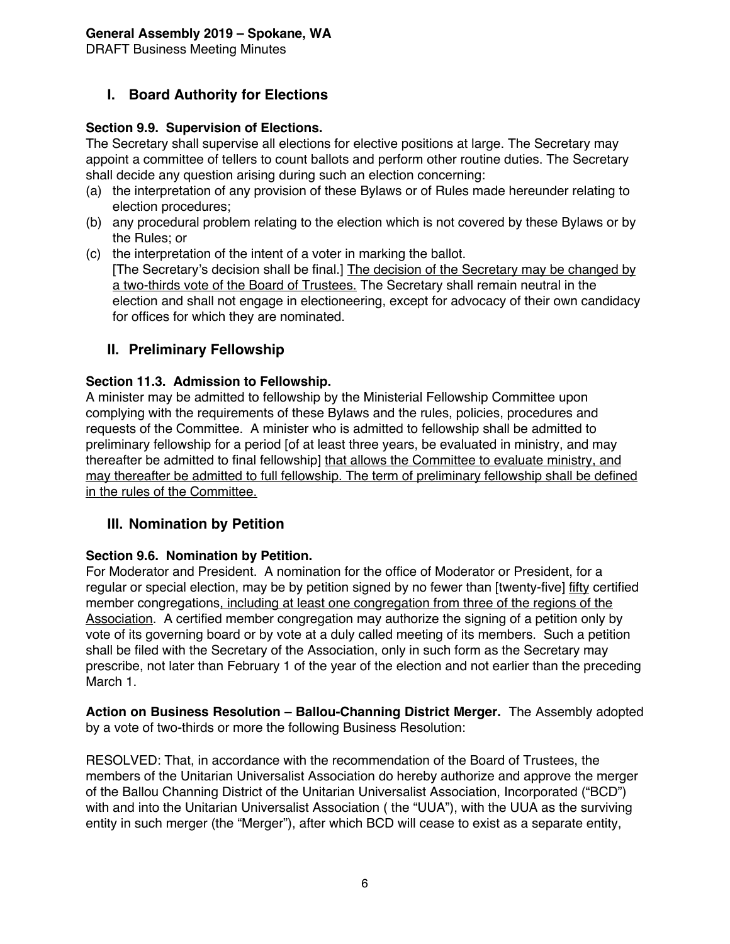DRAFT Business Meeting Minutes

# **I. Board Authority for Elections**

## **Section 9.9. Supervision of Elections.**

The Secretary shall supervise all elections for elective positions at large. The Secretary may appoint a committee of tellers to count ballots and perform other routine duties. The Secretary shall decide any question arising during such an election concerning:

- (a) the interpretation of any provision of these Bylaws or of Rules made hereunder relating to election procedures;
- (b) any procedural problem relating to the election which is not covered by these Bylaws or by the Rules; or
- (c) the interpretation of the intent of a voter in marking the ballot. [The Secretary's decision shall be final.] The decision of the Secretary may be changed by a two-thirds vote of the Board of Trustees. The Secretary shall remain neutral in the election and shall not engage in electioneering, except for advocacy of their own candidacy for offices for which they are nominated.

## **II. Preliminary Fellowship**

## **Section 11.3. Admission to Fellowship.**

A minister may be admitted to fellowship by the Ministerial Fellowship Committee upon complying with the requirements of these Bylaws and the rules, policies, procedures and requests of the Committee. A minister who is admitted to fellowship shall be admitted to preliminary fellowship for a period [of at least three years, be evaluated in ministry, and may thereafter be admitted to final fellowship] that allows the Committee to evaluate ministry, and may thereafter be admitted to full fellowship. The term of preliminary fellowship shall be defined in the rules of the Committee.

## **III. Nomination by Petition**

#### **Section 9.6. Nomination by Petition.**

For Moderator and President. A nomination for the office of Moderator or President, for a regular or special election, may be by petition signed by no fewer than [twenty-five] fifty certified member congregations, including at least one congregation from three of the regions of the Association. A certified member congregation may authorize the signing of a petition only by vote of its governing board or by vote at a duly called meeting of its members. Such a petition shall be filed with the Secretary of the Association, only in such form as the Secretary may prescribe, not later than February 1 of the year of the election and not earlier than the preceding March 1.

**Action on Business Resolution – Ballou-Channing District Merger.** The Assembly adopted by a vote of two-thirds or more the following Business Resolution:

RESOLVED: That, in accordance with the recommendation of the Board of Trustees, the members of the Unitarian Universalist Association do hereby authorize and approve the merger of the Ballou Channing District of the Unitarian Universalist Association, Incorporated ("BCD") with and into the Unitarian Universalist Association ( the "UUA"), with the UUA as the surviving entity in such merger (the "Merger"), after which BCD will cease to exist as a separate entity,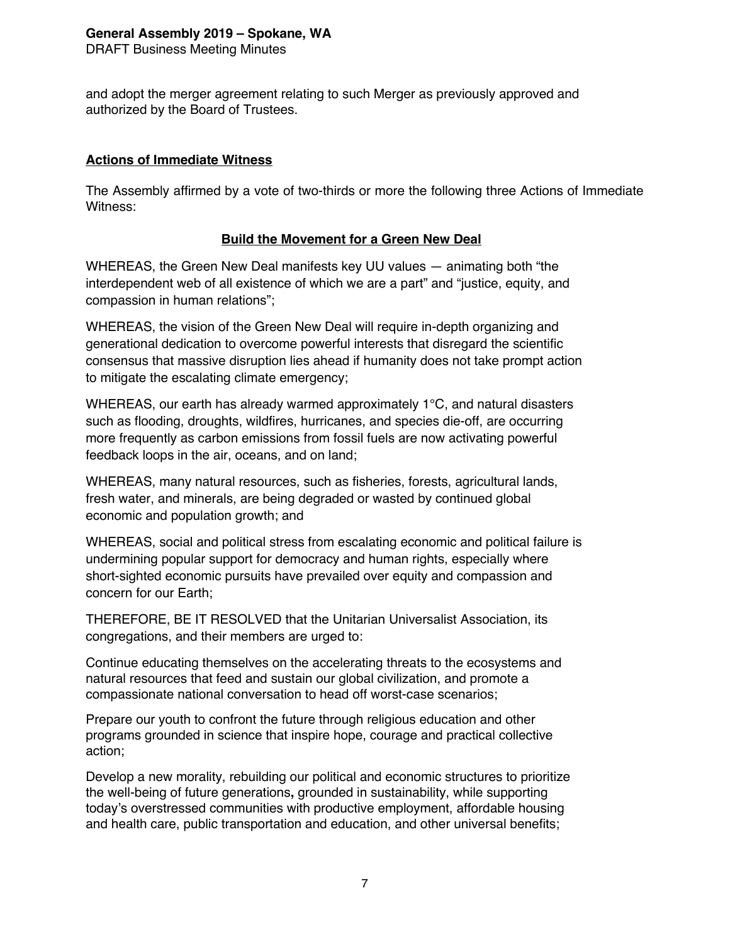DRAFT Business Meeting Minutes

and adopt the merger agreement relating to such Merger as previously approved and authorized by the Board of Trustees.

#### **Actions of Immediate Witness**

The Assembly affirmed by a vote of two-thirds or more the following three Actions of Immediate Witness:

## **Build the Movement for a Green New Deal**

WHEREAS, the Green New Deal manifests key UU values — animating both "the interdependent web of all existence of which we are a part" and "justice, equity, and compassion in human relations";

WHEREAS, the vision of the Green New Deal will require in-depth organizing and generational dedication to overcome powerful interests that disregard the scientific consensus that massive disruption lies ahead if humanity does not take prompt action to mitigate the escalating climate emergency;

WHEREAS, our earth has already warmed approximately 1°C, and natural disasters such as flooding, droughts, wildfires, hurricanes, and species die-off, are occurring more frequently as carbon emissions from fossil fuels are now activating powerful feedback loops in the air, oceans, and on land;

WHEREAS, many natural resources, such as fisheries, forests, agricultural lands, fresh water, and minerals, are being degraded or wasted by continued global economic and population growth; and

WHEREAS, social and political stress from escalating economic and political failure is undermining popular support for democracy and human rights, especially where short-sighted economic pursuits have prevailed over equity and compassion and concern for our Earth;

THEREFORE, BE IT RESOLVED that the Unitarian Universalist Association, its congregations, and their members are urged to:

Continue educating themselves on the accelerating threats to the ecosystems and natural resources that feed and sustain our global civilization, and promote a compassionate national conversation to head off worst-case scenarios;

Prepare our youth to confront the future through religious education and other programs grounded in science that inspire hope, courage and practical collective action;

Develop a new morality, rebuilding our political and economic structures to prioritize the well-being of future generations**,** grounded in sustainability, while supporting today's overstressed communities with productive employment, affordable housing and health care, public transportation and education, and other universal benefits;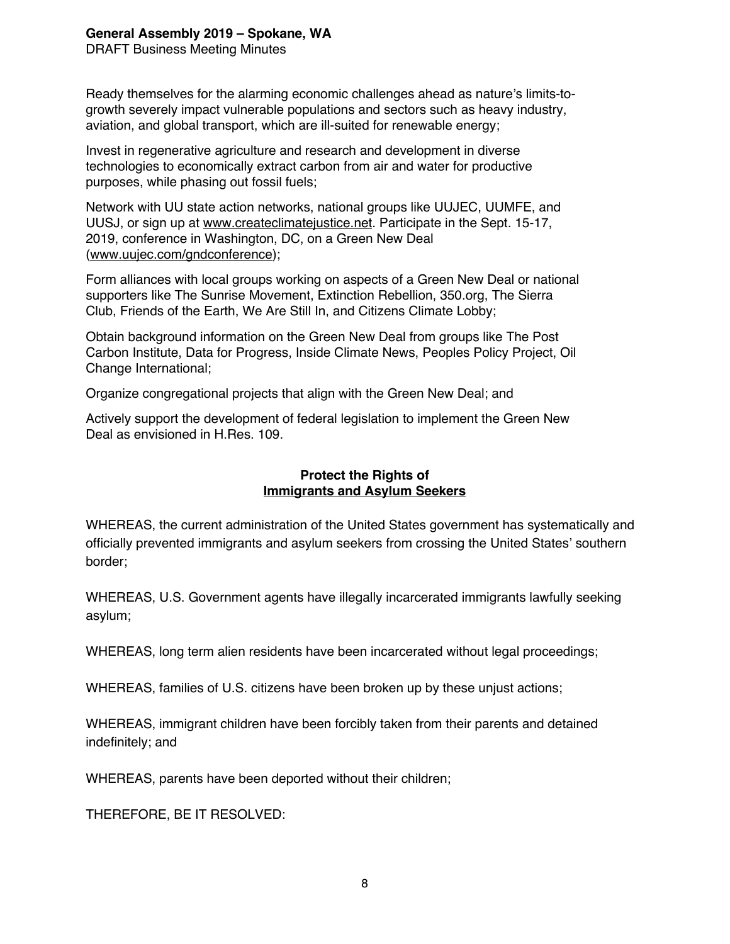DRAFT Business Meeting Minutes

Ready themselves for the alarming economic challenges ahead as nature's limits-togrowth severely impact vulnerable populations and sectors such as heavy industry, aviation, and global transport, which are ill-suited for renewable energy;

Invest in regenerative agriculture and research and development in diverse technologies to economically extract carbon from air and water for productive purposes, while phasing out fossil fuels;

Network with UU state action networks, national groups like UUJEC, UUMFE, and UUSJ, or sign up at www.createclimatejustice.net. Participate in the Sept. 15-17, 2019, conference in Washington, DC, on a Green New Deal (www.uujec.com/gndconference);

Form alliances with local groups working on aspects of a Green New Deal or national supporters like The Sunrise Movement, Extinction Rebellion, 350.org, The Sierra Club, Friends of the Earth, We Are Still In, and Citizens Climate Lobby;

Obtain background information on the Green New Deal from groups like The Post Carbon Institute, Data for Progress, Inside Climate News, Peoples Policy Project, Oil Change International;

Organize congregational projects that align with the Green New Deal; and

Actively support the development of federal legislation to implement the Green New Deal as envisioned in H.Res. 109.

## **Protect the Rights of Immigrants and Asylum Seekers**

WHEREAS, the current administration of the United States government has systematically and officially prevented immigrants and asylum seekers from crossing the United States' southern border;

WHEREAS, U.S. Government agents have illegally incarcerated immigrants lawfully seeking asylum;

WHEREAS, long term alien residents have been incarcerated without legal proceedings;

WHEREAS, families of U.S. citizens have been broken up by these unjust actions;

WHEREAS, immigrant children have been forcibly taken from their parents and detained indefinitely; and

WHEREAS, parents have been deported without their children;

THEREFORE, BE IT RESOLVED: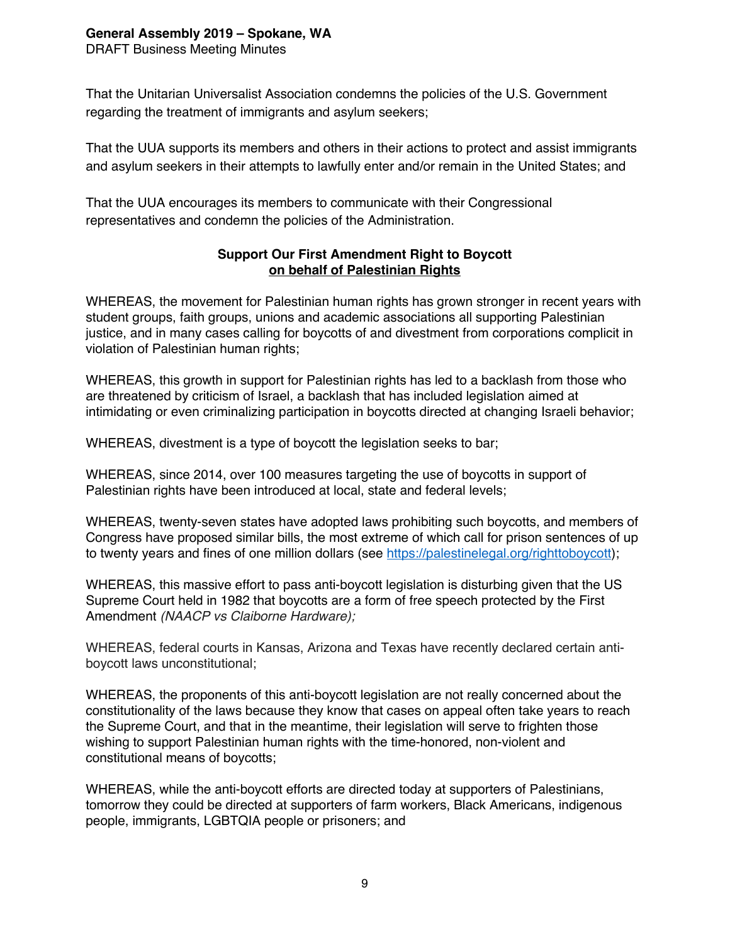DRAFT Business Meeting Minutes

That the Unitarian Universalist Association condemns the policies of the U.S. Government regarding the treatment of immigrants and asylum seekers;

That the UUA supports its members and others in their actions to protect and assist immigrants and asylum seekers in their attempts to lawfully enter and/or remain in the United States; and

That the UUA encourages its members to communicate with their Congressional representatives and condemn the policies of the Administration.

## **Support Our First Amendment Right to Boycott on behalf of Palestinian Rights**

WHEREAS, the movement for Palestinian human rights has grown stronger in recent years with student groups, faith groups, unions and academic associations all supporting Palestinian justice, and in many cases calling for boycotts of and divestment from corporations complicit in violation of Palestinian human rights;

WHEREAS, this growth in support for Palestinian rights has led to a backlash from those who are threatened by criticism of Israel, a backlash that has included legislation aimed at intimidating or even criminalizing participation in boycotts directed at changing Israeli behavior;

WHEREAS, divestment is a type of boycott the legislation seeks to bar;

WHEREAS, since 2014, over 100 measures targeting the use of boycotts in support of Palestinian rights have been introduced at local, state and federal levels;

WHEREAS, twenty-seven states have adopted laws prohibiting such boycotts, and members of Congress have proposed similar bills, the most extreme of which call for prison sentences of up to twenty years and fines of one million dollars (see https://palestinelegal.org/righttoboycott);

WHEREAS, this massive effort to pass anti-boycott legislation is disturbing given that the US Supreme Court held in 1982 that boycotts are a form of free speech protected by the First Amendment *(NAACP vs Claiborne Hardware);*

WHEREAS, federal courts in Kansas, Arizona and Texas have recently declared certain antiboycott laws unconstitutional;

WHEREAS, the proponents of this anti-boycott legislation are not really concerned about the constitutionality of the laws because they know that cases on appeal often take years to reach the Supreme Court, and that in the meantime, their legislation will serve to frighten those wishing to support Palestinian human rights with the time-honored, non-violent and constitutional means of boycotts;

WHEREAS, while the anti-boycott efforts are directed today at supporters of Palestinians, tomorrow they could be directed at supporters of farm workers, Black Americans, indigenous people, immigrants, LGBTQIA people or prisoners; and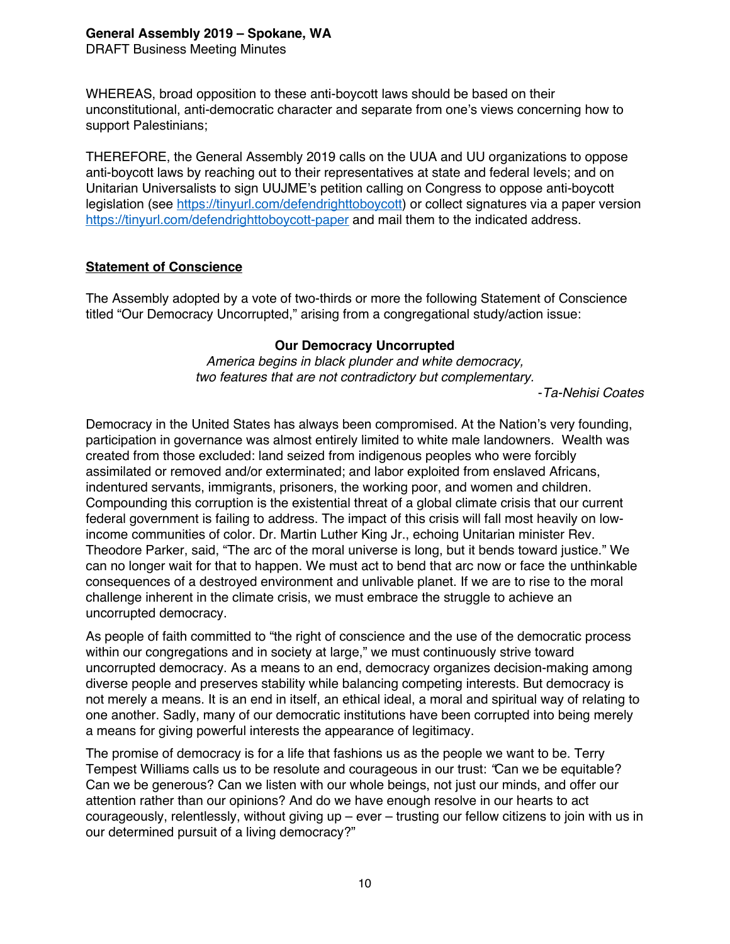DRAFT Business Meeting Minutes

WHEREAS, broad opposition to these anti-boycott laws should be based on their unconstitutional, anti-democratic character and separate from one's views concerning how to support Palestinians;

THEREFORE, the General Assembly 2019 calls on the UUA and UU organizations to oppose anti-boycott laws by reaching out to their representatives at state and federal levels; and on Unitarian Universalists to sign UUJME's petition calling on Congress to oppose anti-boycott legislation (see https://tinyurl.com/defendrighttoboycott) or collect signatures via a paper version https://tinyurl.com/defendrighttoboycott-paper and mail them to the indicated address.

#### **Statement of Conscience**

The Assembly adopted by a vote of two-thirds or more the following Statement of Conscience titled "Our Democracy Uncorrupted," arising from a congregational study/action issue:

#### **Our Democracy Uncorrupted**

*America begins in black plunder and white democracy, two features that are not contradictory but complementary.*

-*Ta-Nehisi Coates*

Democracy in the United States has always been compromised. At the Nation's very founding, participation in governance was almost entirely limited to white male landowners. Wealth was created from those excluded: land seized from indigenous peoples who were forcibly assimilated or removed and/or exterminated; and labor exploited from enslaved Africans, indentured servants, immigrants, prisoners, the working poor, and women and children. Compounding this corruption is the existential threat of a global climate crisis that our current federal government is failing to address. The impact of this crisis will fall most heavily on lowincome communities of color. Dr. Martin Luther King Jr., echoing Unitarian minister Rev. Theodore Parker, said, "The arc of the moral universe is long, but it bends toward justice." We can no longer wait for that to happen. We must act to bend that arc now or face the unthinkable consequences of a destroyed environment and unlivable planet. If we are to rise to the moral challenge inherent in the climate crisis, we must embrace the struggle to achieve an uncorrupted democracy.

As people of faith committed to "the right of conscience and the use of the democratic process within our congregations and in society at large," we must continuously strive toward uncorrupted democracy. As a means to an end, democracy organizes decision-making among diverse people and preserves stability while balancing competing interests. But democracy is not merely a means. It is an end in itself, an ethical ideal, a moral and spiritual way of relating to one another. Sadly, many of our democratic institutions have been corrupted into being merely a means for giving powerful interests the appearance of legitimacy.

The promise of democracy is for a life that fashions us as the people we want to be. Terry Tempest Williams calls us to be resolute and courageous in our trust: *"*Can we be equitable? Can we be generous? Can we listen with our whole beings, not just our minds, and offer our attention rather than our opinions? And do we have enough resolve in our hearts to act courageously, relentlessly, without giving up – ever – trusting our fellow citizens to join with us in our determined pursuit of a living democracy?"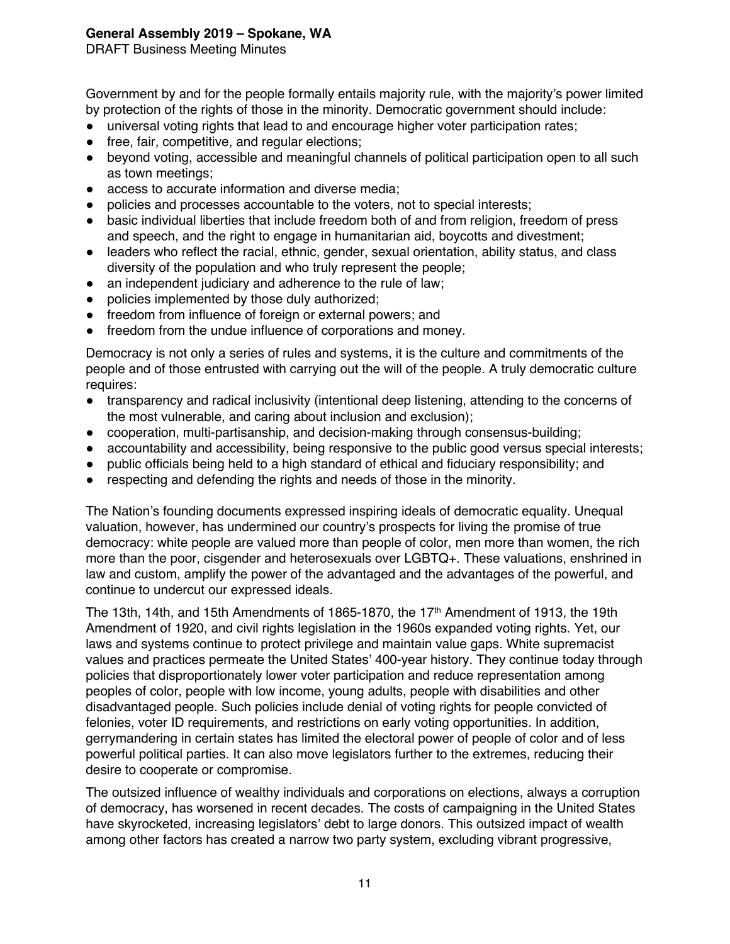DRAFT Business Meeting Minutes

Government by and for the people formally entails majority rule, with the majority's power limited by protection of the rights of those in the minority. Democratic government should include:

- universal voting rights that lead to and encourage higher voter participation rates:
- free, fair, competitive, and regular elections;
- beyond voting, accessible and meaningful channels of political participation open to all such as town meetings;
- access to accurate information and diverse media;
- policies and processes accountable to the voters, not to special interests;
- basic individual liberties that include freedom both of and from religion, freedom of press and speech, and the right to engage in humanitarian aid, boycotts and divestment;
- ! leaders who reflect the racial, ethnic, gender, sexual orientation, ability status, and class diversity of the population and who truly represent the people;
- an independent judiciary and adherence to the rule of law;
- policies implemented by those duly authorized;
- freedom from influence of foreign or external powers; and
- freedom from the undue influence of corporations and money.

Democracy is not only a series of rules and systems, it is the culture and commitments of the people and of those entrusted with carrying out the will of the people. A truly democratic culture requires:

- ! transparency and radical inclusivity (intentional deep listening, attending to the concerns of the most vulnerable, and caring about inclusion and exclusion);
- ! cooperation, multi-partisanship, and decision-making through consensus-building;
- accountability and accessibility, being responsive to the public good versus special interests;
- ! public officials being held to a high standard of ethical and fiduciary responsibility; and
- respecting and defending the rights and needs of those in the minority.

The Nation's founding documents expressed inspiring ideals of democratic equality. Unequal valuation, however, has undermined our country's prospects for living the promise of true democracy: white people are valued more than people of color, men more than women, the rich more than the poor, cisgender and heterosexuals over LGBTQ+. These valuations, enshrined in law and custom, amplify the power of the advantaged and the advantages of the powerful, and continue to undercut our expressed ideals.

The 13th, 14th, and 15th Amendments of 1865-1870, the 17th Amendment of 1913, the 19th Amendment of 1920, and civil rights legislation in the 1960s expanded voting rights. Yet, our laws and systems continue to protect privilege and maintain value gaps. White supremacist values and practices permeate the United States' 400-year history. They continue today through policies that disproportionately lower voter participation and reduce representation among peoples of color, people with low income, young adults, people with disabilities and other disadvantaged people. Such policies include denial of voting rights for people convicted of felonies, voter ID requirements, and restrictions on early voting opportunities. In addition, gerrymandering in certain states has limited the electoral power of people of color and of less powerful political parties. It can also move legislators further to the extremes, reducing their desire to cooperate or compromise.

The outsized influence of wealthy individuals and corporations on elections, always a corruption of democracy, has worsened in recent decades. The costs of campaigning in the United States have skyrocketed, increasing legislators' debt to large donors. This outsized impact of wealth among other factors has created a narrow two party system, excluding vibrant progressive,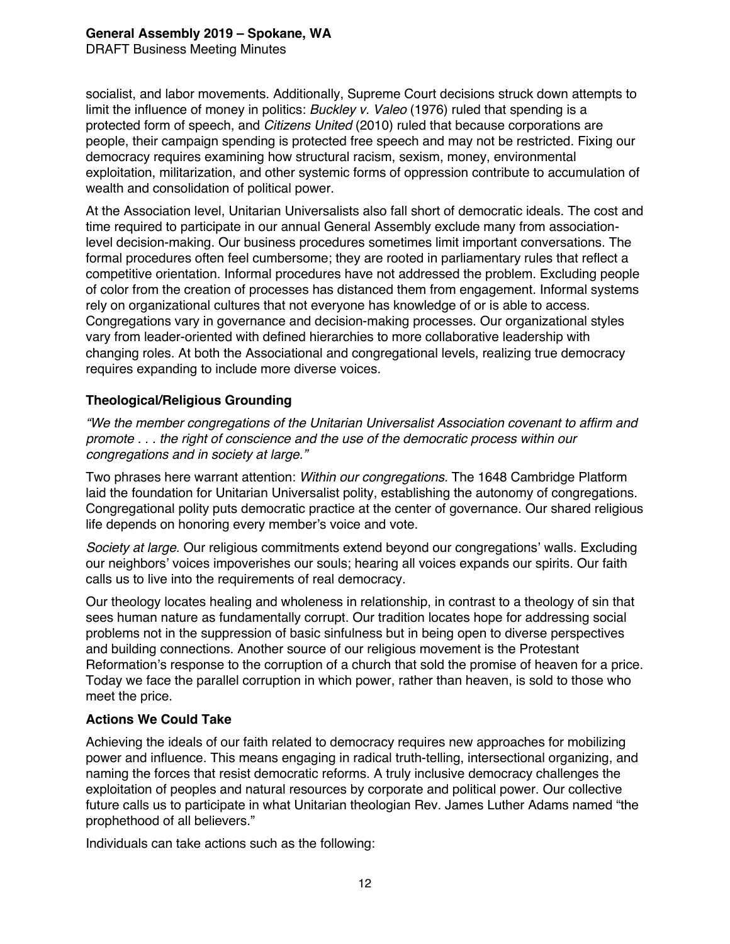DRAFT Business Meeting Minutes

socialist, and labor movements. Additionally, Supreme Court decisions struck down attempts to limit the influence of money in politics: *Buckley v. Valeo* (1976) ruled that spending is a protected form of speech, and *Citizens United* (2010) ruled that because corporations are people, their campaign spending is protected free speech and may not be restricted. Fixing our democracy requires examining how structural racism, sexism, money, environmental exploitation, militarization, and other systemic forms of oppression contribute to accumulation of wealth and consolidation of political power.

At the Association level, Unitarian Universalists also fall short of democratic ideals. The cost and time required to participate in our annual General Assembly exclude many from associationlevel decision-making. Our business procedures sometimes limit important conversations. The formal procedures often feel cumbersome; they are rooted in parliamentary rules that reflect a competitive orientation. Informal procedures have not addressed the problem. Excluding people of color from the creation of processes has distanced them from engagement. Informal systems rely on organizational cultures that not everyone has knowledge of or is able to access. Congregations vary in governance and decision-making processes. Our organizational styles vary from leader-oriented with defined hierarchies to more collaborative leadership with changing roles. At both the Associational and congregational levels, realizing true democracy requires expanding to include more diverse voices.

## **Theological/Religious Grounding**

*"We the member congregations of the Unitarian Universalist Association covenant to affirm and promote . . . the right of conscience and the use of the democratic process within our congregations and in society at large."* 

Two phrases here warrant attention: *Within our congregations.* The 1648 Cambridge Platform laid the foundation for Unitarian Universalist polity, establishing the autonomy of congregations. Congregational polity puts democratic practice at the center of governance. Our shared religious life depends on honoring every member's voice and vote.

*Society at large*. Our religious commitments extend beyond our congregations' walls. Excluding our neighbors' voices impoverishes our souls; hearing all voices expands our spirits. Our faith calls us to live into the requirements of real democracy.

Our theology locates healing and wholeness in relationship, in contrast to a theology of sin that sees human nature as fundamentally corrupt. Our tradition locates hope for addressing social problems not in the suppression of basic sinfulness but in being open to diverse perspectives and building connections. Another source of our religious movement is the Protestant Reformation's response to the corruption of a church that sold the promise of heaven for a price. Today we face the parallel corruption in which power, rather than heaven, is sold to those who meet the price.

#### **Actions We Could Take**

Achieving the ideals of our faith related to democracy requires new approaches for mobilizing power and influence. This means engaging in radical truth-telling, intersectional organizing, and naming the forces that resist democratic reforms. A truly inclusive democracy challenges the exploitation of peoples and natural resources by corporate and political power. Our collective future calls us to participate in what Unitarian theologian Rev. James Luther Adams named "the prophethood of all believers."

Individuals can take actions such as the following: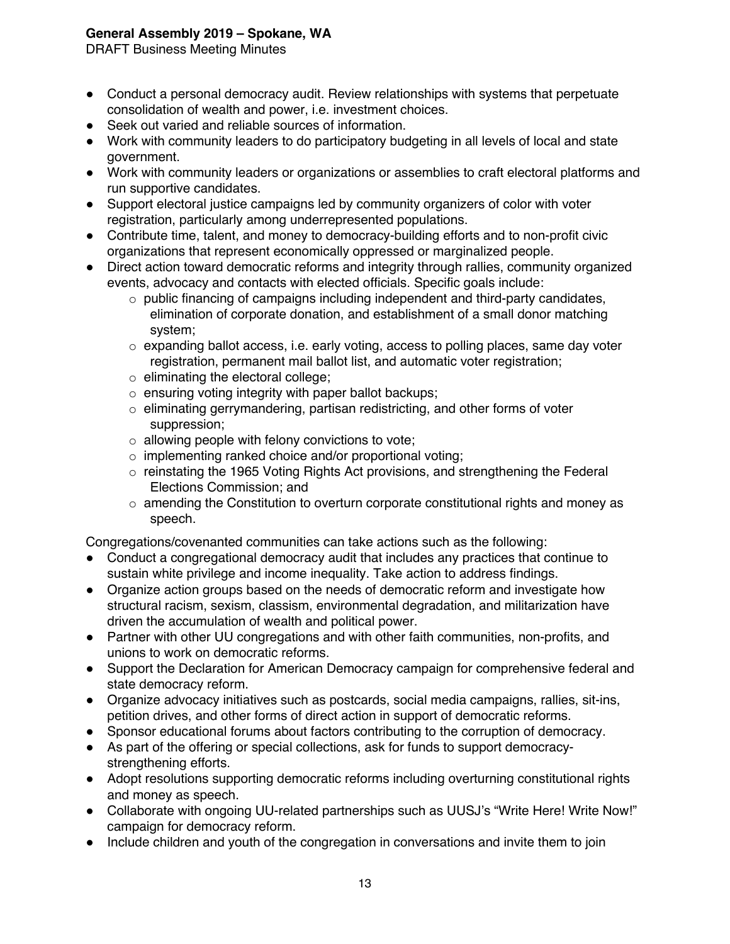DRAFT Business Meeting Minutes

- Conduct a personal democracy audit. Review relationships with systems that perpetuate consolidation of wealth and power, i.e. investment choices.
- Seek out varied and reliable sources of information.
- ! Work with community leaders to do participatory budgeting in all levels of local and state government.
- ! Work with community leaders or organizations or assemblies to craft electoral platforms and run supportive candidates.
- ! Support electoral justice campaigns led by community organizers of color with voter registration, particularly among underrepresented populations.
- Contribute time, talent, and money to democracy-building efforts and to non-profit civic organizations that represent economically oppressed or marginalized people.
- Direct action toward democratic reforms and integrity through rallies, community organized events, advocacy and contacts with elected officials. Specific goals include:
	- $\circ$  public financing of campaigns including independent and third-party candidates, elimination of corporate donation, and establishment of a small donor matching system;
	- $\circ$  expanding ballot access, i.e. early voting, access to polling places, same day voter registration, permanent mail ballot list, and automatic voter registration;
	- o eliminating the electoral college;
	- $\circ$  ensuring voting integrity with paper ballot backups;
	- $\circ$  eliminating gerrymandering, partisan redistricting, and other forms of voter suppression;
	- $\circ$  allowing people with felony convictions to vote;
	- o implementing ranked choice and/or proportional voting;
	- o reinstating the 1965 Voting Rights Act provisions, and strengthening the Federal Elections Commission; and
	- $\circ$  amending the Constitution to overturn corporate constitutional rights and money as speech.

Congregations/covenanted communities can take actions such as the following:

- Conduct a congregational democracy audit that includes any practices that continue to sustain white privilege and income inequality. Take action to address findings.
- Organize action groups based on the needs of democratic reform and investigate how structural racism, sexism, classism, environmental degradation, and militarization have driven the accumulation of wealth and political power.
- ! Partner with other UU congregations and with other faith communities, non-profits, and unions to work on democratic reforms.
- ! Support the Declaration for American Democracy campaign for comprehensive federal and state democracy reform.
- ! Organize advocacy initiatives such as postcards, social media campaigns, rallies, sit-ins, petition drives, and other forms of direct action in support of democratic reforms.
- ! Sponsor educational forums about factors contributing to the corruption of democracy.
- ! As part of the offering or special collections, ask for funds to support democracystrengthening efforts.
- Adopt resolutions supporting democratic reforms including overturning constitutional rights and money as speech.
- Collaborate with ongoing UU-related partnerships such as UUSJ's "Write Here! Write Now!" campaign for democracy reform.
- Include children and youth of the congregation in conversations and invite them to join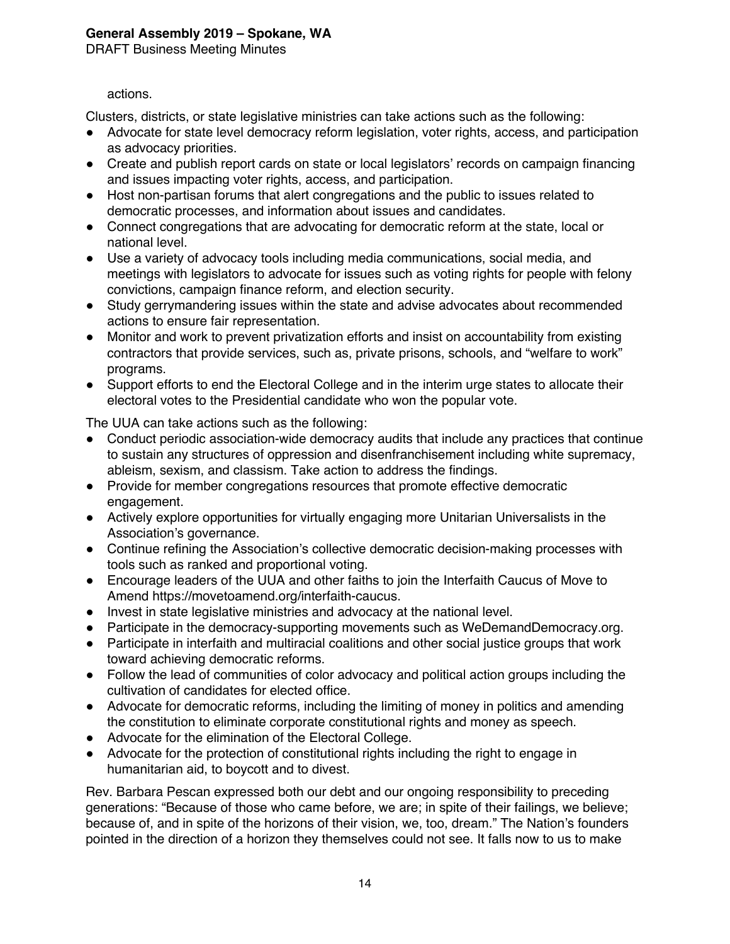DRAFT Business Meeting Minutes

## actions.

Clusters, districts, or state legislative ministries can take actions such as the following:

- ! Advocate for state level democracy reform legislation, voter rights, access, and participation as advocacy priorities.
- Create and publish report cards on state or local legislators' records on campaign financing and issues impacting voter rights, access, and participation.
- Host non-partisan forums that alert congregations and the public to issues related to democratic processes, and information about issues and candidates.
- Connect congregations that are advocating for democratic reform at the state, local or national level.
- ! Use a variety of advocacy tools including media communications, social media, and meetings with legislators to advocate for issues such as voting rights for people with felony convictions, campaign finance reform, and election security.
- ! Study gerrymandering issues within the state and advise advocates about recommended actions to ensure fair representation.
- Monitor and work to prevent privatization efforts and insist on accountability from existing contractors that provide services, such as, private prisons, schools, and "welfare to work" programs.
- Support efforts to end the Electoral College and in the interim urge states to allocate their electoral votes to the Presidential candidate who won the popular vote.

The UUA can take actions such as the following:

- Conduct periodic association-wide democracy audits that include any practices that continue to sustain any structures of oppression and disenfranchisement including white supremacy, ableism, sexism, and classism. Take action to address the findings.
- ! Provide for member congregations resources that promote effective democratic engagement.
- ! Actively explore opportunities for virtually engaging more Unitarian Universalists in the Association's governance.
- Continue refining the Association's collective democratic decision-making processes with tools such as ranked and proportional voting.
- ! Encourage leaders of the UUA and other faiths to join the Interfaith Caucus of Move to Amend https://movetoamend.org/interfaith-caucus.
- Invest in state legislative ministries and advocacy at the national level.
- ! Participate in the democracy-supporting movements such as WeDemandDemocracy.org.
- ! Participate in interfaith and multiracial coalitions and other social justice groups that work toward achieving democratic reforms.
- Follow the lead of communities of color advocacy and political action groups including the cultivation of candidates for elected office.
- Advocate for democratic reforms, including the limiting of money in politics and amending the constitution to eliminate corporate constitutional rights and money as speech.
- ! Advocate for the elimination of the Electoral College.
- Advocate for the protection of constitutional rights including the right to engage in humanitarian aid, to boycott and to divest.

Rev. Barbara Pescan expressed both our debt and our ongoing responsibility to preceding generations: "Because of those who came before, we are; in spite of their failings, we believe; because of, and in spite of the horizons of their vision, we, too, dream." The Nation's founders pointed in the direction of a horizon they themselves could not see. It falls now to us to make